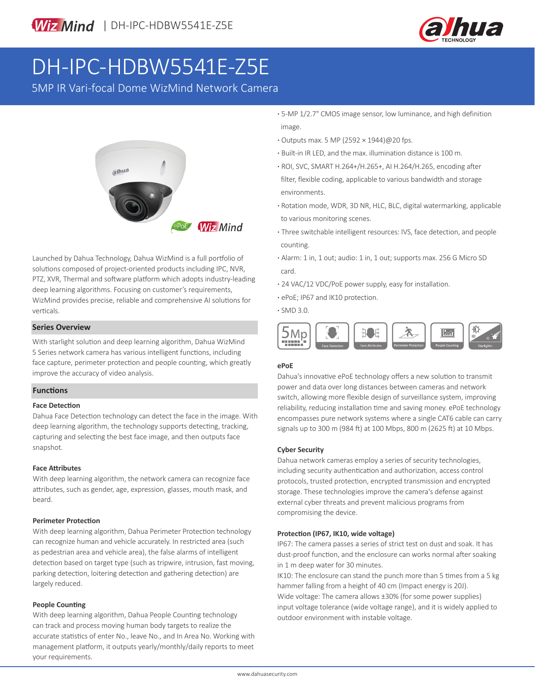

# DH-IPC-HDBW5541E-Z5E

5MP IR Vari-focal Dome WizMind Network Camera



Launched by Dahua Technology, Dahua WizMind is a full portfolio of solutions composed of project-oriented products including IPC, NVR, PTZ, XVR, Thermal and software platform which adopts industry-leading deep learning algorithms. Focusing on customer's requirements, WizMind provides precise, reliable and comprehensive AI solutions for verticals.

#### **Series Overview**

With starlight solution and deep learning algorithm, Dahua WizMind 5 Series network camera has various intelligent functions, including face capture, perimeter protection and people counting, which greatly improve the accuracy of video analysis.

#### **Functions**

#### **Face Detection**

Dahua Face Detection technology can detect the face in the image. With deep learning algorithm, the technology supports detecting, tracking, capturing and selecting the best face image, and then outputs face snapshot.

#### **Face Attributes**

With deep learning algorithm, the network camera can recognize face attributes, such as gender, age, expression, glasses, mouth mask, and beard.

#### **Perimeter Protection**

With deep learning algorithm, Dahua Perimeter Protection technology can recognize human and vehicle accurately. In restricted area (such as pedestrian area and vehicle area), the false alarms of intelligent detection based on target type (such as tripwire, intrusion, fast moving, parking detection, loitering detection and gathering detection) are largely reduced.

#### **People Counting**

With deep learning algorithm, Dahua People Counting technology can track and process moving human body targets to realize the accurate statistics of enter No., leave No., and In Area No. Working with management platform, it outputs yearly/monthly/daily reports to meet your requirements.

**·** 5-MP 1/2.7" CMOS image sensor, low luminance, and high definition image.

- **·** Outputs max. 5 MP (2592 × 1944)@20 fps.
- **·** Built-in IR LED, and the max. illumination distance is 100 m.
- **·** ROI, SVC, SMART H.264+/H.265+, AI H.264/H.265, encoding after filter, flexible coding, applicable to various bandwidth and storage environments.
- **·** Rotation mode, WDR, 3D NR, HLC, BLC, digital watermarking, applicable to various monitoring scenes.
- **·** Three switchable intelligent resources: IVS, face detection, and people counting.
- **·** Alarm: 1 in, 1 out; audio: 1 in, 1 out; supports max. 256 G Micro SD card.
- **·** 24 VAC/12 VDC/PoE power supply, easy for installation.
- **·** ePoE; IP67 and IK10 protection.
- **·** SMD 3.0.



#### **ePoE**

Dahua's innovative ePoE technology offers a new solution to transmit power and data over long distances between cameras and network switch, allowing more flexible design of surveillance system, improving reliability, reducing installation time and saving money. ePoE technology encompasses pure network systems where a single CAT6 cable can carry signals up to 300 m (984 ft) at 100 Mbps, 800 m (2625 ft) at 10 Mbps.

#### **Cyber Security**

Dahua network cameras employ a series of security technologies, including security authentication and authorization, access control protocols, trusted protection, encrypted transmission and encrypted storage. These technologies improve the camera's defense against external cyber threats and prevent malicious programs from compromising the device.

#### **Protection (IP67, IK10, wide voltage)**

IP67: The camera passes a series of strict test on dust and soak. It has dust-proof function, and the enclosure can works normal after soaking in 1 m deep water for 30 minutes.

IK10: The enclosure can stand the punch more than 5 times from a 5 kg hammer falling from a height of 40 cm (Impact energy is 20J). Wide voltage: The camera allows ±30% (for some power supplies) input voltage tolerance (wide voltage range), and it is widely applied to outdoor environment with instable voltage.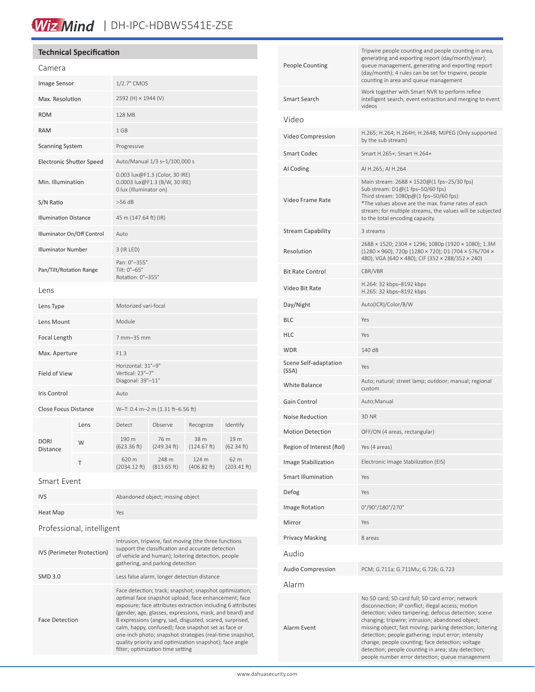# Wiz Mind | DH-IPC-HDBW5541E-Z5E

#### **Technical Specification**

| Camera                          |      |                                                                                           |                      |                      |                     |
|---------------------------------|------|-------------------------------------------------------------------------------------------|----------------------|----------------------|---------------------|
| Image Sensor                    |      | 1/2.7" CMOS                                                                               |                      |                      |                     |
| Max. Resolution                 |      | 2592 (H) × 1944 (V)                                                                       |                      |                      |                     |
| <b>ROM</b>                      |      | 128 MB                                                                                    |                      |                      |                     |
| <b>RAM</b>                      |      | 1 GB                                                                                      |                      |                      |                     |
| <b>Scanning System</b>          |      | Progressive                                                                               |                      |                      |                     |
| <b>Electronic Shutter Speed</b> |      | Auto/Manual 1/3 s-1/100,000 s                                                             |                      |                      |                     |
| Min. Illumination               |      | 0.003 lux@F1.3 (Color, 30 IRE)<br>0.0003 lux@F1.3 (B/W, 30 IRE)<br>0 lux (Illuminator on) |                      |                      |                     |
| S/N Ratio                       |      | $>56$ dB                                                                                  |                      |                      |                     |
| <b>Illumination Distance</b>    |      | 45 m (147.64 ft) (IR)                                                                     |                      |                      |                     |
| Illuminator On/Off Control      |      | Auto                                                                                      |                      |                      |                     |
| <b>Illuminator Number</b>       |      | $3$ (IR LED)                                                                              |                      |                      |                     |
| Pan/Tilt/Rotation Range         |      | Pan: 0°-355°<br>Tilt: 0°-65°<br>Rotation: 0°-355°                                         |                      |                      |                     |
| Lens                            |      |                                                                                           |                      |                      |                     |
| Lens Type                       |      | Motorized vari-focal                                                                      |                      |                      |                     |
| Lens Mount                      |      | Module                                                                                    |                      |                      |                     |
| Focal Length                    |      | 7 mm-35 mm                                                                                |                      |                      |                     |
| Max. Aperture                   |      | F1.3                                                                                      |                      |                      |                     |
| Field of View                   |      | Horizontal: 31°-9°<br>Vertical: 23°-7°<br>Diagonal: 39°-11°                               |                      |                      |                     |
| <b>Iris Control</b>             |      | Auto                                                                                      |                      |                      |                     |
| Close Focus Distance            |      | W-T: 0.4 m-2 m (1.31 ft-6.56 ft)                                                          |                      |                      |                     |
| <b>DORI</b><br><b>Distance</b>  | Lens | Detect                                                                                    | Observe              | Recognize            | Identify            |
|                                 | W    | 190 m<br>(623.36 ft)                                                                      | 76 m<br>(249.34 ft)  | 38 m<br>(124.67 ft)  | 19 m<br>(62.34 ft)  |
|                                 | Τ    | 620 m<br>(2034.12 ft)                                                                     | 248 m<br>(813.65 ft) | 124 m<br>(406.82 ft) | 62 m<br>(203.41 ft) |
| Smart Event                     |      |                                                                                           |                      |                      |                     |

| <b>IVS</b>                        | Abandoned object; missing object                                                                                                                                                                                                                                                                                                                                                                                                                                                                                           |  |  |  |  |
|-----------------------------------|----------------------------------------------------------------------------------------------------------------------------------------------------------------------------------------------------------------------------------------------------------------------------------------------------------------------------------------------------------------------------------------------------------------------------------------------------------------------------------------------------------------------------|--|--|--|--|
| Heat Map                          | Yes                                                                                                                                                                                                                                                                                                                                                                                                                                                                                                                        |  |  |  |  |
| Professional, intelligent         |                                                                                                                                                                                                                                                                                                                                                                                                                                                                                                                            |  |  |  |  |
| <b>IVS (Perimeter Protection)</b> | Intrusion, tripwire, fast moving (the three functions<br>support the classification and accurate detection<br>of vehicle and human); loitering detection, people<br>gathering, and parking detection                                                                                                                                                                                                                                                                                                                       |  |  |  |  |
| <b>SMD 3.0</b>                    | Less false alarm, longer detection distance                                                                                                                                                                                                                                                                                                                                                                                                                                                                                |  |  |  |  |
| <b>Face Detection</b>             | Face detection; track; snapshot; snapshot optimization;<br>optimal face snapshot upload; face enhancement; face<br>exposure; face attributes extraction including 6 attributes<br>(gender, age, glasses, expressions, mask, and beard) and<br>8 expressions (angry, sad, disgusted, scared, surprised,<br>calm, happy, confused); face snapshot set as face or<br>one-inch photo; snapshot strategies (real-time snapshot,<br>quality priority and optimization snapshot); face angle<br>filter; optimization time setting |  |  |  |  |

| <b>People Counting</b>         | Tripwire people counting and people counting in area,<br>generating and exporting report (day/month/year);<br>queue management, generating and exporting report<br>(day/month); 4 rules can be set for tripwire, people<br>counting in area and queue management                                                                                                                                                                                                                                     |
|--------------------------------|------------------------------------------------------------------------------------------------------------------------------------------------------------------------------------------------------------------------------------------------------------------------------------------------------------------------------------------------------------------------------------------------------------------------------------------------------------------------------------------------------|
| Smart Search                   | Work together with Smart NVR to perform refine<br>intelligent search, event extraction and merging to event<br>videos                                                                                                                                                                                                                                                                                                                                                                                |
| Video                          |                                                                                                                                                                                                                                                                                                                                                                                                                                                                                                      |
| Video Compression              | H.265; H.264; H.264H; H.264B; MJPEG (Only supported<br>by the sub stream)                                                                                                                                                                                                                                                                                                                                                                                                                            |
| <b>Smart Codec</b>             | Smart H.265+; Smart H.264+                                                                                                                                                                                                                                                                                                                                                                                                                                                                           |
| AI Coding                      | AI H.265; AI H.264                                                                                                                                                                                                                                                                                                                                                                                                                                                                                   |
| Video Frame Rate               | Main stream: 2688 × 1520@(1 fps-25/30 fps)<br>Sub stream: D1@(1 fps-50/60 fps)<br>Third stream: 1080p@(1 fps-50/60 fps)<br>*The values above are the max. frame rates of each<br>stream; for multiple streams, the values will be subjected<br>to the total encoding capacity.                                                                                                                                                                                                                       |
| <b>Stream Capability</b>       | 3 streams                                                                                                                                                                                                                                                                                                                                                                                                                                                                                            |
| Resolution                     | 2688 × 1520; 2304 × 1296; 1080p (1920 × 1080); 1.3M<br>(1280 × 960); 720p (1280 × 720); D1 (704 × 576/704 ×<br>480); VGA (640 × 480); CIF (352 × 288/352 × 240)                                                                                                                                                                                                                                                                                                                                      |
| <b>Bit Rate Control</b>        | CBR/VBR                                                                                                                                                                                                                                                                                                                                                                                                                                                                                              |
| Video Bit Rate                 | H.264: 32 kbps-8192 kbps<br>H.265: 32 kbps-8192 kbps                                                                                                                                                                                                                                                                                                                                                                                                                                                 |
| Day/Night                      | Auto(ICR)/Color/B/W                                                                                                                                                                                                                                                                                                                                                                                                                                                                                  |
| <b>BLC</b>                     | Yes                                                                                                                                                                                                                                                                                                                                                                                                                                                                                                  |
| <b>HLC</b>                     | Yes                                                                                                                                                                                                                                                                                                                                                                                                                                                                                                  |
| <b>WDR</b>                     | 140 dB                                                                                                                                                                                                                                                                                                                                                                                                                                                                                               |
| Scene Self-adaptation<br>(SSA) | Yes                                                                                                                                                                                                                                                                                                                                                                                                                                                                                                  |
| <b>White Balance</b>           | Auto; natural; street lamp; outdoor; manual; regional<br>custom                                                                                                                                                                                                                                                                                                                                                                                                                                      |
| Gain Control                   | Auto;Manual                                                                                                                                                                                                                                                                                                                                                                                                                                                                                          |
| <b>Noise Reduction</b>         | 3D NR                                                                                                                                                                                                                                                                                                                                                                                                                                                                                                |
| <b>Motion Detection</b>        | OFF/ON (4 areas, rectangular)                                                                                                                                                                                                                                                                                                                                                                                                                                                                        |
| Region of Interest (RoI)       | Yes (4 areas)                                                                                                                                                                                                                                                                                                                                                                                                                                                                                        |
| Image Stabilization            | Electronic Image Stabilization (EIS)                                                                                                                                                                                                                                                                                                                                                                                                                                                                 |
| Smart Illumination             | Yes                                                                                                                                                                                                                                                                                                                                                                                                                                                                                                  |
| Defog                          | Yes                                                                                                                                                                                                                                                                                                                                                                                                                                                                                                  |
| Image Rotation                 | 0°/90°/180°/270°                                                                                                                                                                                                                                                                                                                                                                                                                                                                                     |
| Mirror                         | Yes                                                                                                                                                                                                                                                                                                                                                                                                                                                                                                  |
| <b>Privacy Masking</b>         | 8 areas                                                                                                                                                                                                                                                                                                                                                                                                                                                                                              |
| Audio                          |                                                                                                                                                                                                                                                                                                                                                                                                                                                                                                      |
| <b>Audio Compression</b>       | PCM; G.711a; G.711Mu; G.726; G.723                                                                                                                                                                                                                                                                                                                                                                                                                                                                   |
| Alarm                          |                                                                                                                                                                                                                                                                                                                                                                                                                                                                                                      |
| Alarm Event                    | No SD card; SD card full; SD card error; network<br>disconnection; IP conflict; illegal access; motion<br>detection; video tampering; defocus detection; scene<br>changing; tripwire; intrusion; abandoned object;<br>missing object; fast moving; parking detection; loitering<br>detection; people gathering; input error; intensity<br>change; people counting; face detection; voltage<br>detection; people counting in area; stay detection;<br>people number error detection; queue management |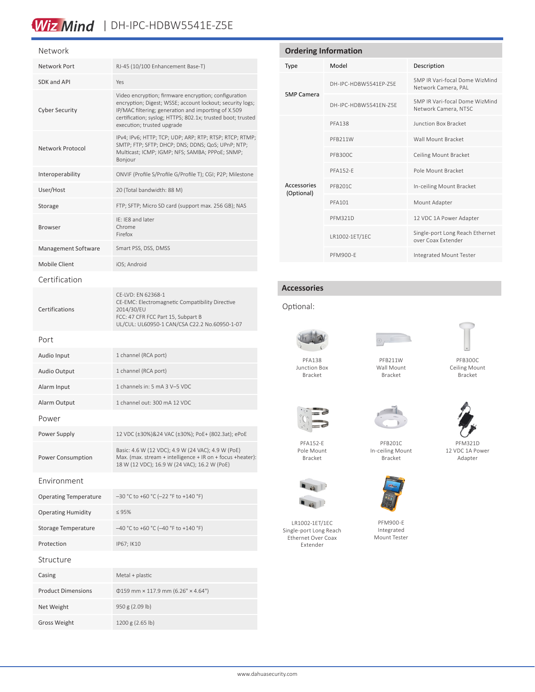## Wiz Mind | DH-IPC-HDBW5541E-Z5E

#### Network

| Network Port                 | RJ-45 (10/100 Enhancement Base-T)                                                                                                                                                                                                                                     |  |
|------------------------------|-----------------------------------------------------------------------------------------------------------------------------------------------------------------------------------------------------------------------------------------------------------------------|--|
| SDK and API                  | Yes                                                                                                                                                                                                                                                                   |  |
| <b>Cyber Security</b>        | Video encryption; firmware encryption; configuration<br>encryption; Digest; WSSE; account lockout; security logs;<br>IP/MAC filtering; generation and importing of X.509<br>certification; syslog; HTTPS; 802.1x; trusted boot; trusted<br>execution; trusted upgrade |  |
| Network Protocol             | IPv4; IPv6; HTTP; TCP; UDP; ARP; RTP; RTSP; RTCP; RTMP;<br>SMTP; FTP; SFTP; DHCP; DNS; DDNS; QoS; UPnP; NTP;<br>Multicast; ICMP; IGMP; NFS; SAMBA; PPPoE; SNMP;<br>Boniour                                                                                            |  |
| Interoperability             | ONVIF (Profile S/Profile G/Profile T); CGI; P2P; Milestone                                                                                                                                                                                                            |  |
| User/Host                    | 20 (Total bandwidth: 88 M)                                                                                                                                                                                                                                            |  |
| Storage                      | FTP; SFTP; Micro SD card (support max. 256 GB); NAS                                                                                                                                                                                                                   |  |
| <b>Browser</b>               | IE: IE8 and later<br>Chrome<br>Firefox                                                                                                                                                                                                                                |  |
| Management Software          | Smart PSS, DSS, DMSS                                                                                                                                                                                                                                                  |  |
| <b>Mobile Client</b>         | iOS; Android                                                                                                                                                                                                                                                          |  |
| Certification                |                                                                                                                                                                                                                                                                       |  |
| Certifications               | CE-LVD: EN 62368-1<br>CE-EMC: Electromagnetic Compatibility Directive<br>2014/30/EU<br>FCC: 47 CFR FCC Part 15, Subpart B<br>UL/CUL: UL60950-1 CAN/CSA C22.2 No.60950-1-07                                                                                            |  |
| Port                         |                                                                                                                                                                                                                                                                       |  |
| Audio Input                  | 1 channel (RCA port)                                                                                                                                                                                                                                                  |  |
| Audio Output                 | 1 channel (RCA port)                                                                                                                                                                                                                                                  |  |
| Alarm Input                  | 1 channels in: 5 mA 3 V-5 VDC                                                                                                                                                                                                                                         |  |
| Alarm Output                 | 1 channel out: 300 mA 12 VDC                                                                                                                                                                                                                                          |  |
| Power                        |                                                                                                                                                                                                                                                                       |  |
| Power Supply                 | 12 VDC (±30%)&24 VAC (±30%); PoE+ (802.3at); ePoE                                                                                                                                                                                                                     |  |
| <b>Power Consumption</b>     | Basic: 4.6 W (12 VDC); 4.9 W (24 VAC); 4.9 W (PoE)<br>Max. (max. stream + intelligence + IR on + focus + heater):<br>18 W (12 VDC); 16.9 W (24 VAC); 16.2 W (PoE)                                                                                                     |  |
| Environment                  |                                                                                                                                                                                                                                                                       |  |
| <b>Operating Temperature</b> | $-30$ °C to +60 °C (-22 °F to +140 °F)                                                                                                                                                                                                                                |  |
| <b>Operating Humidity</b>    | $\leq 95\%$                                                                                                                                                                                                                                                           |  |
| Storage Temperature          | -40 °C to +60 °C (-40 °F to +140 °F)                                                                                                                                                                                                                                  |  |
| Protection                   | IP67; IK10                                                                                                                                                                                                                                                            |  |
| Structure                    |                                                                                                                                                                                                                                                                       |  |
| Casing                       | Metal + plastic                                                                                                                                                                                                                                                       |  |
| <b>Product Dimensions</b>    | $\Phi$ 159 mm × 117.9 mm (6.26" × 4.64")                                                                                                                                                                                                                              |  |
| Net Weight                   | 950 g (2.09 lb)                                                                                                                                                                                                                                                       |  |
| <b>Gross Weight</b>          | 1200 g (2.65 lb)                                                                                                                                                                                                                                                      |  |

#### **Ordering Information** Type Model Description 5MP Camera DH-IPC-HDBW5541EP-Z5E 5MP IR Vari-focal Dome WizMind Network Camera, PAL DH-IPC-HDBW5541EN-Z5E 5MP IR Vari-focal Dome WizMind Network Camera, NTSC Accessories (Optional) PFA138 Junction Box Bracket PFB211W Wall Mount Bracket PFB300C Ceiling Mount Bracket PFA152-E POle Mount Bracket PFB201C In-ceiling Mount Bracket PFA101 Mount Adapter PFM321D 12 VDC 1A Power Adapter LR1002-1ET/1EC Single-port Long Reach Ethernet over Coax Extender PFM900-E Integrated Mount Tester

#### **Accessories**

#### Optional:



Junction Box



PFB211W Wall Mount Bracket



PFB300C Ceiling Mount Bracket

PFM321D 12 VDC 1A Power Adapter

Bracket



PFA152-E Pole Mount Bracket



LR1002-1ET/1EC Single-port Long Reach Ethernet Over Coax Extender

Bracket

PFB201C In-ceiling Mount



PFM900-E Integrated Mount Tester



www.dahuasecurity.com